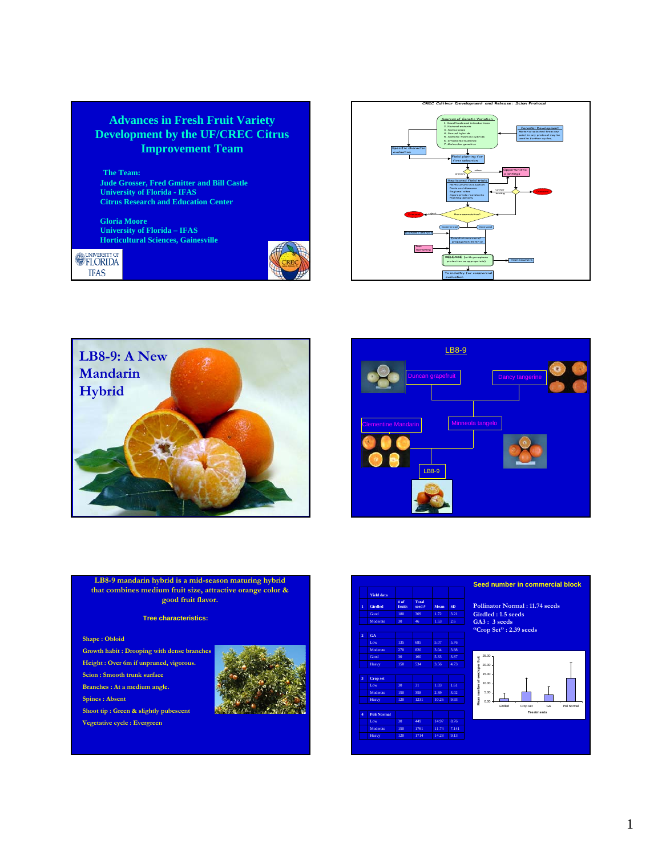## **Advances in Fresh Fruit Variety Development by the UF/CREC Citrus Improvement Team**

**The Team: Jude Grosser, Fred Gmitter and Bill Castle University of Florida - IFAS Citrus Research and Education Center**

**Gloria Moore University of Florida – IFAS Horticultural Sciences, Gainesville**

**EXERCITY OF IFAS** 









**LB8-9 mandarin hybrid is a mid-season maturing hybrid that combines medium fruit size, attractive orange color & good fruit flavor.**

#### **Tree characteristics:**

#### **Shape : Obloid**

- **Growth habit : Drooping with dense branches**
- **Height : Over 6m if unpruned, vigorous.**
- **Scion : Smooth trunk surface Branches : At a medium angle.**
- **Spines : Absent**
- **Shoot tip : Green & slightly pubescent**
- **Vegetative cycle : Evergreen**







**Pollinator Normal : 11.74 seeds Girdled : 1.5 seeds GA3 : 3 seeds "Crop Set" : 2.39 seeds**

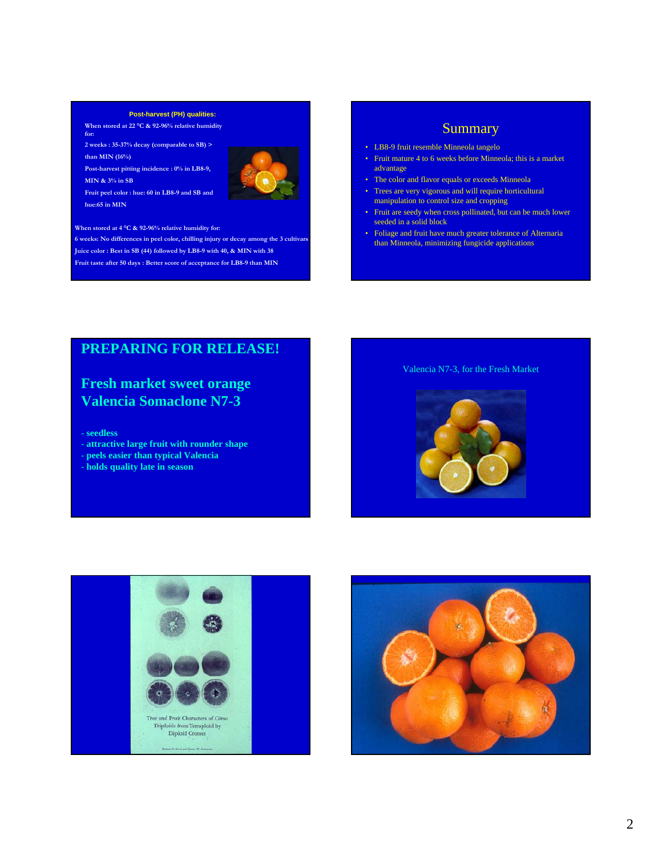#### **Post-harvest (PH) qualities:**

**When stored at 22 °C & 92-96% relative humidity for:** 

**2 weeks : 35-37% decay (comparable to SB) > than MIN (16%)**

**Post-harvest pitting incidence : 0% in LB8-9,** 

**MIN & 3% in SB**



**Fruit peel color : hue: 60 in LB8-9 and SB and hue:65 in MIN**

#### **When stored at 4 °C & 92-96% relative humidity for:**

**6 weeks: No differences in peel color, chilling injury or decay among the 3 cultivars Juice color : Best in SB (44) followed by LB8-9 with 40, & MIN with 38 Fruit taste after 50 days : Better score of acceptance for LB8-9 than MIN** 

## Summary

- LB8-9 fruit resemble Minneola tangelo
- Fruit mature 4 to 6 weeks before Minneola; this is a market advantage
- The color and flavor equals or exceeds Minneola
- Trees are very vigorous and will require horticultural manipulation to control size and cropping
- Fruit are seedy when cross pollinated, but can be much lower seeded in a solid block
- Foliage and fruit have much greater tolerance of Alternaria than Minneola, minimizing fungicide applications

## **PREPARING FOR RELEASE!**

## **Fresh market sweet orange Valencia Somaclone N7-3**

#### - **seedless**

- **attractive large fruit with rounder shape**

- **peels easier than typical Valencia**
- **holds quality late in season**

### Valencia N7-3, for the Fresh Market





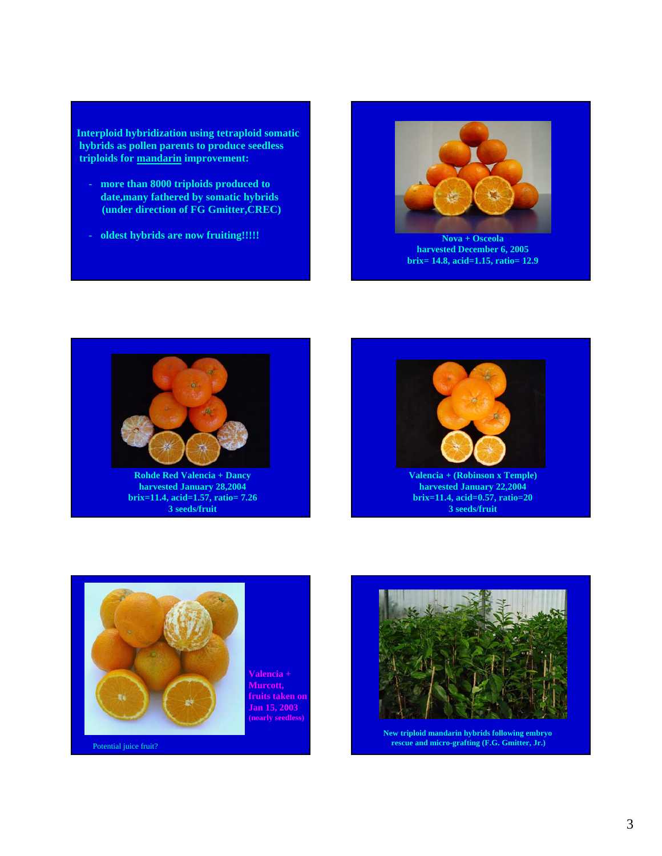**Interploid hybridization using tetraploid somatic hybrids as pollen parents to produce seedless triploids for mandarin improvement:**

- **more than 8000 triploids produced to date,many fathered by somatic hybrids (under direction of FG Gmitter,CREC)**
- **oldest hybrids are now fruiting!!!!! Nova + Osceola**



**harvested December 6, 2005 brix= 14.8, acid=1.15, ratio= 12.9**



**Rohde Red Valencia + Dancy harvested January 28,2004 brix=11.4, acid=1.57, ratio= 7.26 3 seeds/fruit**





Potential juice fruit?

**Valencia + Murcott, fruits taken on Jan 15, 2003 (nearly seedless)**



**New triploid mandarin hybrids following embryo rescue and micro-grafting (F.G. Gmitter, Jr.)**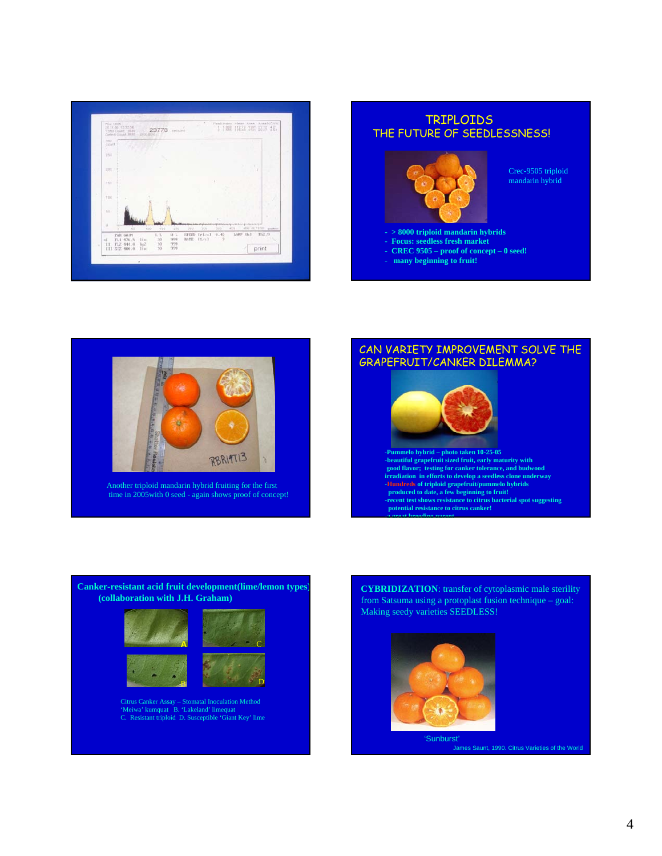

## - **> 8000 triploid mandarin hybrids** - **Focus: seedless fresh market** - **CREC 9505 – proof of concept – 0 seed!** - **many beginning to fruit!** TRIPLOIDS THE FUTURE OF SEEDLESSNESS! Crec-9505 triploid mandarin hybrid



Another triploid mandarin hybrid fruiting for the first time in 2005with 0 seed - again shows proof of concept!

# **-Pummelo hybrid – photo taken 10-25-05** -**beautiful grapefruit sized fruit, early maturity with good flavor; testing for canker tolerance, and budwood**  CAN VARIETY IMPROVEMENT SOLVE THE GRAPEFRUIT/CANKER DILEMMA?

**irradiation in efforts to develop a seedless clone underway** -Hundreds of triploid grapefruit/pummelo hybrids<br>produced to date, a few beginning to fruit!<br>-recent test shows resistance to citrus bacterial spot suggesting<br>potential resistance to citrus canker!<br>a great hreading parent



Citrus Canker Assay – Stomatal Inoculation Method 'Meiwa' kumquat B. 'Lakeland' limequat C. Resistant triploid D. Susceptible 'Giant Key' lime

**CYBRIDIZATION**: transfer of cytoplasmic male sterility from Satsuma using a protoplast fusion technique – goal: Making seedy varieties SEEDLESS!